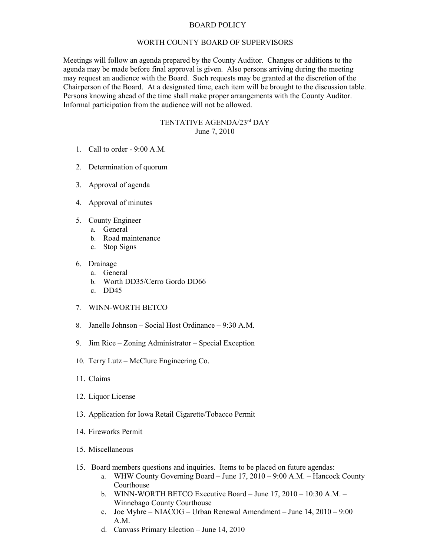## BOARD POLICY

## WORTH COUNTY BOARD OF SUPERVISORS

Meetings will follow an agenda prepared by the County Auditor. Changes or additions to the agenda may be made before final approval is given. Also persons arriving during the meeting may request an audience with the Board. Such requests may be granted at the discretion of the Chairperson of the Board. At a designated time, each item will be brought to the discussion table. Persons knowing ahead of the time shall make proper arrangements with the County Auditor. Informal participation from the audience will not be allowed.

## TENTATIVE AGENDA/23rd DAY June 7, 2010

- 1. Call to order 9:00 A.M.
- 2. Determination of quorum
- 3. Approval of agenda
- 4. Approval of minutes
- 5. County Engineer
	- a. General
	- b. Road maintenance
	- c. Stop Signs
- 6. Drainage
	- a. General
	- b. Worth DD35/Cerro Gordo DD66
	- c. DD45
- 7. WINN-WORTH BETCO
- 8. Janelle Johnson Social Host Ordinance 9:30 A.M.
- 9. Jim Rice Zoning Administrator Special Exception
- 10. Terry Lutz McClure Engineering Co.
- 11. Claims
- 12. Liquor License
- 13. Application for Iowa Retail Cigarette/Tobacco Permit
- 14. Fireworks Permit
- 15. Miscellaneous
- 15. Board members questions and inquiries. Items to be placed on future agendas:
	- a. WHW County Governing Board June 17, 2010 9:00 A.M. Hancock County Courthouse
	- b. WINN-WORTH BETCO Executive Board June 17, 2010 10:30 A.M. Winnebago County Courthouse
	- c. Joe Myhre NIACOG Urban Renewal Amendment June 14, 2010 9:00 A.M.
	- d. Canvass Primary Election June 14, 2010